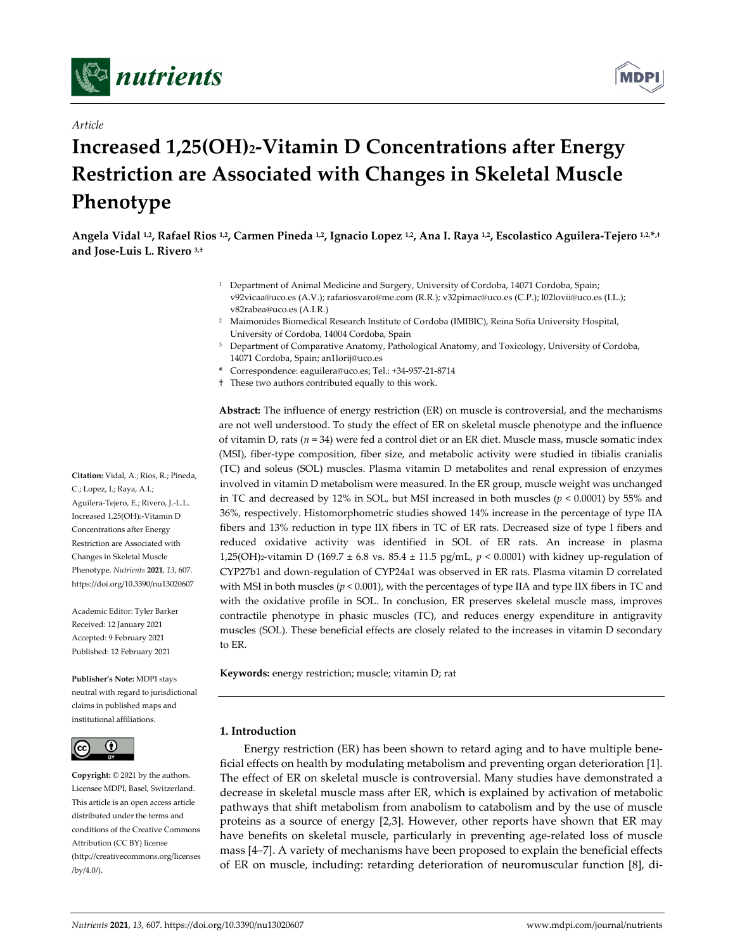



## *Article*

# **Increased 1,25(OH)2‐Vitamin D Concentrations after Energy Restriction are Associated with Changes in Skeletal Muscle Phenotype**

Angela Vidal <sup>1,2</sup>, Rafael Rios <sup>1,2</sup>, Carmen Pineda <sup>1,2</sup>, Ignacio Lopez <sup>1,2</sup>, Ana I. Raya <sup>1,2</sup>, Escolastico Aguilera-Tejero <sup>1,2, \*,+</sup> **and Jose‐Luis L. Rivero 3,†**

- <sup>1</sup> Department of Animal Medicine and Surgery, University of Cordoba, 14071 Cordoba, Spain; v92vicaa@uco.es (A.V.); rafariosvaro@me.com (R.R.); v32pimac@uco.es (C.P.); l02lovii@uco.es (I.L.); v82rabea@uco.es (A.I.R.)
- <sup>2</sup> Maimonides Biomedical Research Institute of Cordoba (IMIBIC), Reina Sofia University Hospital, University of Cordoba, 14004 Cordoba, Spain
- <sup>3</sup> Department of Comparative Anatomy, Pathological Anatomy, and Toxicology, University of Cordoba, 14071 Cordoba, Spain; an1lorij@uco.es
- **\*** Correspondence: eaguilera@uco.es; Tel.: +34‐957‐21‐8714
- † These two authors contributed equally to this work.

**Abstract:** The influence of energy restriction (ER) on muscle is controversial, and the mechanisms are not well understood. To study the effect of ER on skeletal muscle phenotype and the influence of vitamin D, rats (*n* = 34) were fed a control diet or an ER diet. Muscle mass, muscle somatic index (MSI), fiber‐type composition, fiber size, and metabolic activity were studied in tibialis cranialis (TC) and soleus (SOL) muscles. Plasma vitamin D metabolites and renal expression of enzymes involved in vitamin D metabolism were measured. In the ER group, muscle weight was unchanged in TC and decreased by 12% in SOL, but MSI increased in both muscles (*p* < 0.0001) by 55% and 36%, respectively. Histomorphometric studies showed 14% increase in the percentage of type IIA fibers and 13% reduction in type IIX fibers in TC of ER rats. Decreased size of type I fibers and reduced oxidative activity was identified in SOL of ER rats. An increase in plasma 1,25(OH)2‐vitamin D (169.7 ± 6.8 vs. 85.4 ± 11.5 pg/mL, *p* < 0.0001) with kidney up‐regulation of CYP27b1 and down‐regulation of CYP24a1 was observed in ER rats. Plasma vitamin D correlated with MSI in both muscles ( $p < 0.001$ ), with the percentages of type IIA and type IIX fibers in TC and with the oxidative profile in SOL. In conclusion, ER preserves skeletal muscle mass, improves contractile phenotype in phasic muscles (TC), and reduces energy expenditure in antigravity muscles (SOL). These beneficial effects are closely related to the increases in vitamin D secondary to ER.

**Keywords:** energy restriction; muscle; vitamin D; rat

## **1. Introduction**

Energy restriction (ER) has been shown to retard aging and to have multiple bene‐ ficial effects on health by modulating metabolism and preventing organ deterioration [1]. The effect of ER on skeletal muscle is controversial. Many studies have demonstrated a decrease in skeletal muscle mass after ER, which is explained by activation of metabolic pathways that shift metabolism from anabolism to catabolism and by the use of muscle proteins as a source of energy [2,3]. However, other reports have shown that ER may have benefits on skeletal muscle, particularly in preventing age-related loss of muscle mass [4–7]. A variety of mechanisms have been proposed to explain the beneficial effects of ER on muscle, including: retarding deterioration of neuromuscular function [8], di‐

**Citation:** Vidal, A.; Rios, R.; Pineda, C.; Lopez, I.; Raya, A.I.; Aguilera‐Tejero, E.; Rivero, J.‐L.L. Increased 1,25(OH)2‐Vitamin D Concentrations after Energy Restriction are Associated with Changes in Skeletal Muscle Phenotype. *Nutrients* **2021**, *13*, 607. https://doi.org/10.3390/nu13020607

Academic Editor: Tyler Barker Received: 12 January 2021 Accepted: 9 February 2021 Published: 12 February 2021

**Publisher's Note:** MDPI stays neutral with regard to jurisdictional claims in published maps and institutional affiliations.



**Copyright:** © 2021 by the authors. Licensee MDPI, Basel, Switzerland. This article is an open access article distributed under the terms and conditions of the Creative Commons Attribution (CC BY) license (http://creativecommons.org/licenses /by/4.0/).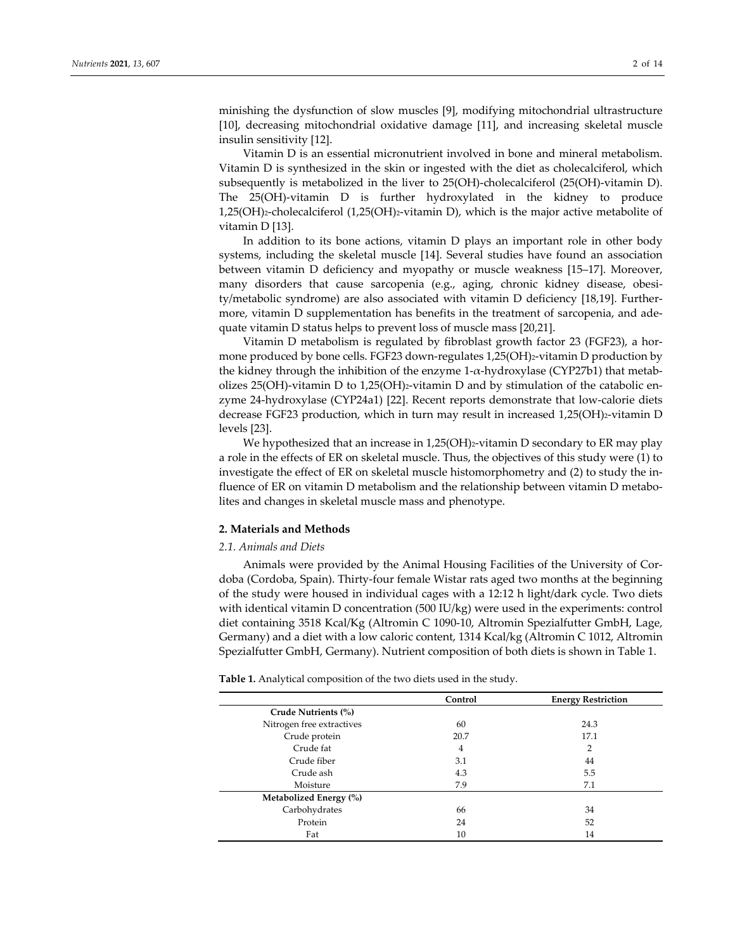minishing the dysfunction of slow muscles [9], modifying mitochondrial ultrastructure [10], decreasing mitochondrial oxidative damage [11], and increasing skeletal muscle insulin sensitivity [12].

Vitamin D is an essential micronutrient involved in bone and mineral metabolism. Vitamin D is synthesized in the skin or ingested with the diet as cholecalciferol, which subsequently is metabolized in the liver to 25(OH)-cholecalciferol (25(OH)-vitamin D). The 25(OH)‐vitamin D is further hydroxylated in the kidney to produce 1,25(OH)2‐cholecalciferol (1,25(OH)2‐vitamin D), which is the major active metabolite of vitamin D [13].

In addition to its bone actions, vitamin D plays an important role in other body systems, including the skeletal muscle [14]. Several studies have found an association between vitamin D deficiency and myopathy or muscle weakness [15–17]. Moreover, many disorders that cause sarcopenia (e.g., aging, chronic kidney disease, obesity/metabolic syndrome) are also associated with vitamin D deficiency [18,19]. Further‐ more, vitamin D supplementation has benefits in the treatment of sarcopenia, and adequate vitamin D status helps to prevent loss of muscle mass [20,21].

Vitamin D metabolism is regulated by fibroblast growth factor 23 (FGF23), a hor‐ mone produced by bone cells. FGF23 down-regulates 1,25(OH)2-vitamin D production by the kidney through the inhibition of the enzyme  $1-\alpha$ -hydroxylase (CYP27b1) that metabolizes 25(OH)-vitamin D to 1,25(OH) $_2$ -vitamin D and by stimulation of the catabolic enzyme 24‐hydroxylase (CYP24a1) [22]. Recent reports demonstrate that low‐calorie diets decrease FGF23 production, which in turn may result in increased 1,25(OH)2-vitamin D levels [23].

We hypothesized that an increase in  $1,25(OH)$ <sub>2</sub>-vitamin D secondary to ER may play a role in the effects of ER on skeletal muscle. Thus, the objectives of this study were (1) to investigate the effect of ER on skeletal muscle histomorphometry and (2) to study the influence of ER on vitamin D metabolism and the relationship between vitamin D metabolites and changes in skeletal muscle mass and phenotype.

## **2. Materials and Methods**

#### *2.1. Animals and Diets*

Animals were provided by the Animal Housing Facilities of the University of Cor‐ doba (Cordoba, Spain). Thirty‐four female Wistar rats aged two months at the beginning of the study were housed in individual cages with a 12:12 h light/dark cycle. Two diets with identical vitamin D concentration (500 IU/kg) were used in the experiments: control diet containing 3518 Kcal/Kg (Altromin C 1090‐10, Altromin Spezialfutter GmbH, Lage, Germany) and a diet with a low caloric content, 1314 Kcal/kg (Altromin C 1012, Altromin Spezialfutter GmbH, Germany). Nutrient composition of both diets is shown in Table 1.

**Table 1.** Analytical composition of the two diets used in the study.

|                           | Control | <b>Energy Restriction</b> |
|---------------------------|---------|---------------------------|
| Crude Nutrients (%)       |         |                           |
| Nitrogen free extractives | 60      | 24.3                      |
| Crude protein             | 20.7    | 17.1                      |
| Crude fat                 | 4       | 2                         |
| Crude fiber               | 3.1     | 44                        |
| Crude ash                 | 4.3     | 5.5                       |
| Moisture                  | 7.9     | 7.1                       |
| Metabolized Energy (%)    |         |                           |
| Carbohydrates             | 66      | 34                        |
| Protein                   | 24      | 52                        |
| Fat                       | 10      | 14                        |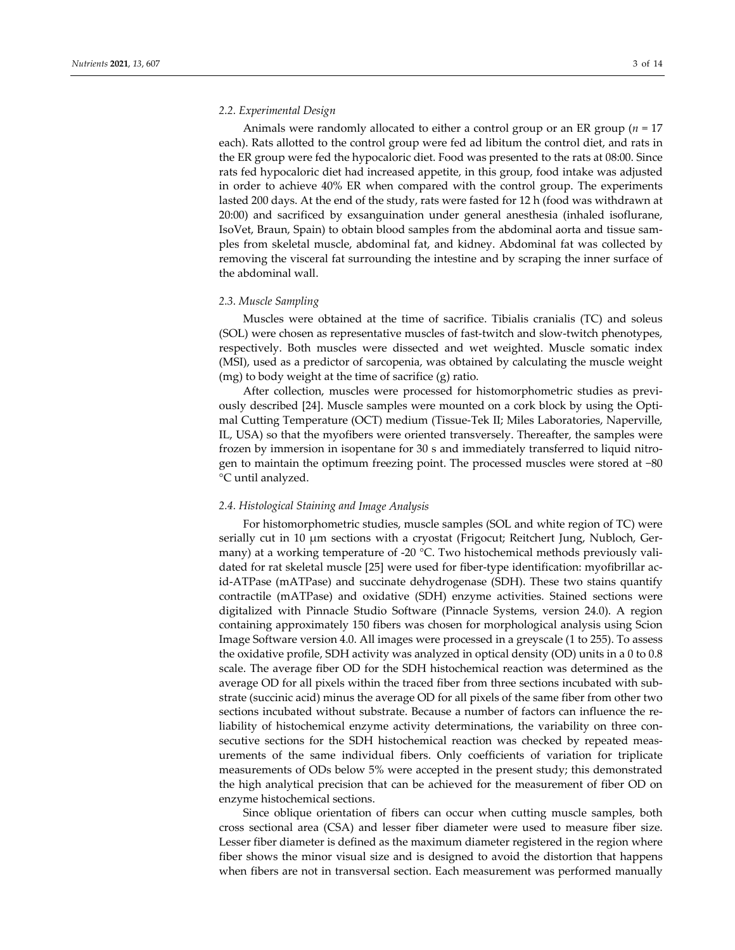#### *2.2. Experimental Design*

Animals were randomly allocated to either a control group or an ER group (*n* = 17 each). Rats allotted to the control group were fed ad libitum the control diet, and rats in the ER group were fed the hypocaloric diet. Food was presented to the rats at 08:00. Since rats fed hypocaloric diet had increased appetite, in this group, food intake was adjusted in order to achieve 40% ER when compared with the control group. The experiments lasted 200 days. At the end of the study, rats were fasted for 12 h (food was withdrawn at 20:00) and sacrificed by exsanguination under general anesthesia (inhaled isoflurane, IsoVet, Braun, Spain) to obtain blood samples from the abdominal aorta and tissue sam‐ ples from skeletal muscle, abdominal fat, and kidney. Abdominal fat was collected by removing the visceral fat surrounding the intestine and by scraping the inner surface of the abdominal wall.

## *2.3. Muscle Sampling*

Muscles were obtained at the time of sacrifice. Tibialis cranialis (TC) and soleus (SOL) were chosen as representative muscles of fast-twitch and slow-twitch phenotypes, respectively. Both muscles were dissected and wet weighted. Muscle somatic index (MSI), used as a predictor of sarcopenia, was obtained by calculating the muscle weight (mg) to body weight at the time of sacrifice (g) ratio.

After collection, muscles were processed for histomorphometric studies as previously described [24]. Muscle samples were mounted on a cork block by using the Opti‐ mal Cutting Temperature (OCT) medium (Tissue‐Tek II; Miles Laboratories, Naperville, IL, USA) so that the myofibers were oriented transversely. Thereafter, the samples were frozen by immersion in isopentane for 30 s and immediately transferred to liquid nitrogen to maintain the optimum freezing point. The processed muscles were stored at −80 °C until analyzed.

## *2.4. Histological Staining and Image Analysis*

For histomorphometric studies, muscle samples (SOL and white region of TC) were serially cut in 10 μm sections with a cryostat (Frigocut; Reitchert Jung, Nubloch, Ger‐ many) at a working temperature of -20 °C. Two histochemical methods previously validated for rat skeletal muscle [25] were used for fiber‐type identification: myofibrillar ac‐ id-ATPase (mATPase) and succinate dehydrogenase (SDH). These two stains quantify contractile (mATPase) and oxidative (SDH) enzyme activities. Stained sections were digitalized with Pinnacle Studio Software (Pinnacle Systems, version 24.0). A region containing approximately 150 fibers was chosen for morphological analysis using Scion Image Software version 4.0. All images were processed in a greyscale (1 to 255). To assess the oxidative profile, SDH activity was analyzed in optical density (OD) units in a 0 to 0.8 scale. The average fiber OD for the SDH histochemical reaction was determined as the average OD for all pixels within the traced fiber from three sections incubated with sub‐ strate (succinic acid) minus the average OD for all pixels of the same fiber from other two sections incubated without substrate. Because a number of factors can influence the reliability of histochemical enzyme activity determinations, the variability on three consecutive sections for the SDH histochemical reaction was checked by repeated measurements of the same individual fibers. Only coefficients of variation for triplicate measurements of ODs below 5% were accepted in the present study; this demonstrated the high analytical precision that can be achieved for the measurement of fiber OD on enzyme histochemical sections.

Since oblique orientation of fibers can occur when cutting muscle samples, both cross sectional area (CSA) and lesser fiber diameter were used to measure fiber size. Lesser fiber diameter is defined as the maximum diameter registered in the region where fiber shows the minor visual size and is designed to avoid the distortion that happens when fibers are not in transversal section. Each measurement was performed manually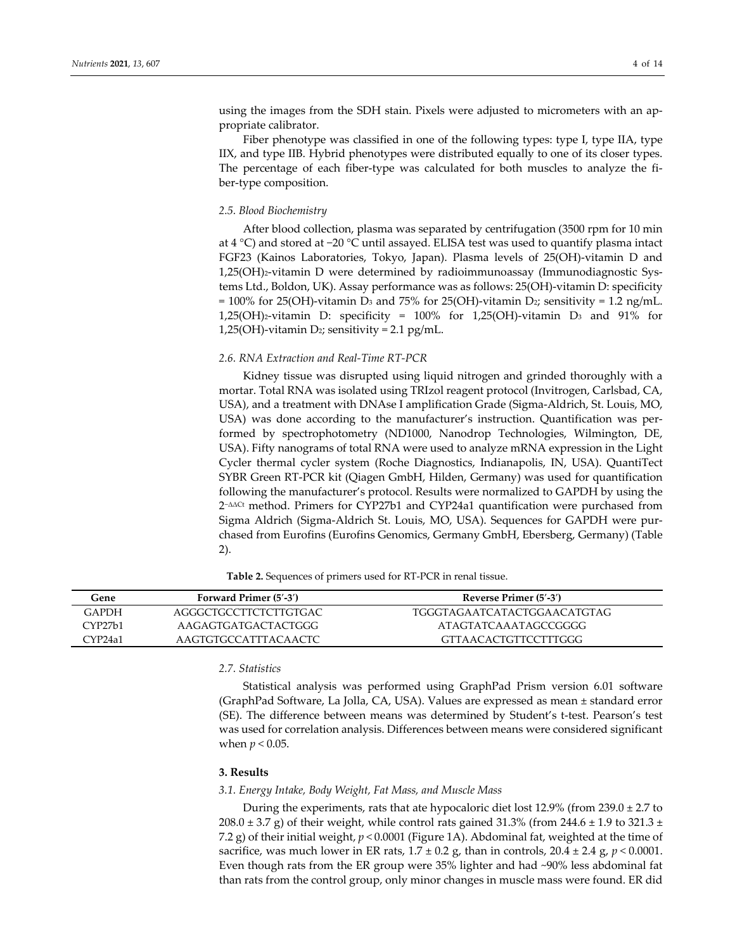using the images from the SDH stain. Pixels were adjusted to micrometers with an appropriate calibrator.

Fiber phenotype was classified in one of the following types: type I, type IIA, type IIX, and type IIB. Hybrid phenotypes were distributed equally to one of its closer types. The percentage of each fiber-type was calculated for both muscles to analyze the fiber‐type composition.

#### *2.5. Blood Biochemistry*

After blood collection, plasma was separated by centrifugation (3500 rpm for 10 min at 4 °C) and stored at −20 °C until assayed. ELISA test was used to quantify plasma intact FGF23 (Kainos Laboratories, Tokyo, Japan). Plasma levels of 25(OH)‐vitamin D and 1,25(OH)2‐vitamin D were determined by radioimmunoassay (Immunodiagnostic Sys‐ tems Ltd., Boldon, UK). Assay performance was as follows: 25(OH)‐vitamin D: specificity = 100% for 25(OH)-vitamin D<sub>3</sub> and 75% for 25(OH)-vitamin D<sub>2</sub>; sensitivity = 1.2 ng/mL. 1,25(OH)2‐vitamin D: specificity = 100% for 1,25(OH)‐vitamin D3 and 91% for 1,25(OH)-vitamin D<sub>2</sub>; sensitivity =  $2.1$  pg/mL.

#### *2.6. RNA Extraction and Real‐Time RT‐PCR*

Kidney tissue was disrupted using liquid nitrogen and grinded thoroughly with a mortar. Total RNA was isolated using TRIzol reagent protocol (Invitrogen, Carlsbad, CA, USA), and a treatment with DNAse I amplification Grade (Sigma‐Aldrich, St. Louis, MO, USA) was done according to the manufacturer's instruction. Quantification was per‐ formed by spectrophotometry (ND1000, Nanodrop Technologies, Wilmington, DE, USA). Fifty nanograms of total RNA were used to analyze mRNA expression in the Light Cycler thermal cycler system (Roche Diagnostics, Indianapolis, IN, USA). QuantiTect SYBR Green RT‐PCR kit (Qiagen GmbH, Hilden, Germany) was used for quantification following the manufacturer's protocol. Results were normalized to GAPDH by using the 2−ΔΔCt method. Primers for CYP27b1 and CYP24a1 quantification were purchased from Sigma Aldrich (Sigma‐Aldrich St. Louis, MO, USA). Sequences for GAPDH were pur‐ chased from Eurofins (Eurofins Genomics, Germany GmbH, Ebersberg, Germany) (Table 2).

| Gene                | Forward Primer (5'-3') | Reverse Primer (5'-3')      |
|---------------------|------------------------|-----------------------------|
| <b>GAPDH</b>        | AGGGCTGCCTTCTCTTGTGAC  | TGGGTAGAATCATACTGGAACATGTAG |
| CYP27h1             | AAGAGTGATGACTACTGGG    | ATAGTATCAAATAGCCGGGG        |
| CYP <sub>24a1</sub> | AAGTGTGCCATTTACAACTC   | GTTAACACTGTTCCTTTGGG        |

**Table 2.** Sequences of primers used for RT‐PCR in renal tissue.

## *2.7. Statistics*

Statistical analysis was performed using GraphPad Prism version 6.01 software (GraphPad Software, La Jolla, CA, USA). Values are expressed as mean ± standard error (SE). The difference between means was determined by Student's t‐test. Pearson's test was used for correlation analysis. Differences between means were considered significant when *p <* 0.05.

#### **3. Results**

#### *3.1. Energy Intake, Body Weight, Fat Mass, and Muscle Mass*

During the experiments, rats that ate hypocaloric diet lost 12.9% (from 239.0 ± 2.7 to 208.0  $\pm$  3.7 g) of their weight, while control rats gained 31.3% (from 244.6  $\pm$  1.9 to 321.3  $\pm$ 7.2 g) of their initial weight, *p <* 0.0001 (Figure 1A). Abdominal fat, weighted at the time of sacrifice, was much lower in ER rats,  $1.7 \pm 0.2$  g, than in controls,  $20.4 \pm 2.4$  g,  $p < 0.0001$ . Even though rats from the ER group were 35% lighter and had ~90% less abdominal fat than rats from the control group, only minor changes in muscle mass were found. ER did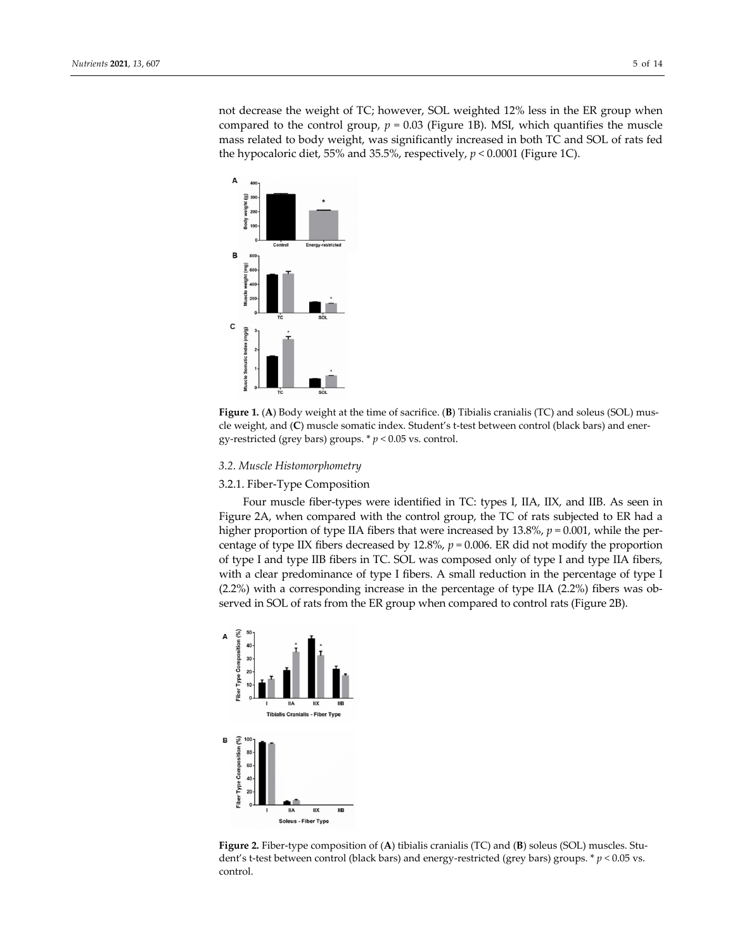not decrease the weight of TC; however, SOL weighted 12% less in the ER group when compared to the control group,  $p = 0.03$  (Figure 1B). MSI, which quantifies the muscle mass related to body weight, was significantly increased in both TC and SOL of rats fed the hypocaloric diet, 55% and 35.5%, respectively, *p <* 0.0001 (Figure 1C).





### *3.2. Muscle Histomorphometry*

#### 3.2.1. Fiber‐Type Composition

Four muscle fiber‐types were identified in TC: types I, IIA, IIX, and IIB. As seen in Figure 2A, when compared with the control group, the TC of rats subjected to ER had a higher proportion of type IIA fibers that were increased by 13.8%,  $p = 0.001$ , while the percentage of type IIX fibers decreased by 12.8%, *p =* 0.006. ER did not modify the proportion of type I and type IIB fibers in TC. SOL was composed only of type I and type IIA fibers, with a clear predominance of type I fibers. A small reduction in the percentage of type I  $(2.2\%)$  with a corresponding increase in the percentage of type IIA  $(2.2\%)$  fibers was observed in SOL of rats from the ER group when compared to control rats (Figure 2B).



**Figure 2.** Fiber‐type composition of (**A**) tibialis cranialis (TC) and (**B**) soleus (SOL) muscles. Stu‐ dent's t-test between control (black bars) and energy-restricted (grey bars) groups. \*  $p < 0.05$  vs. control.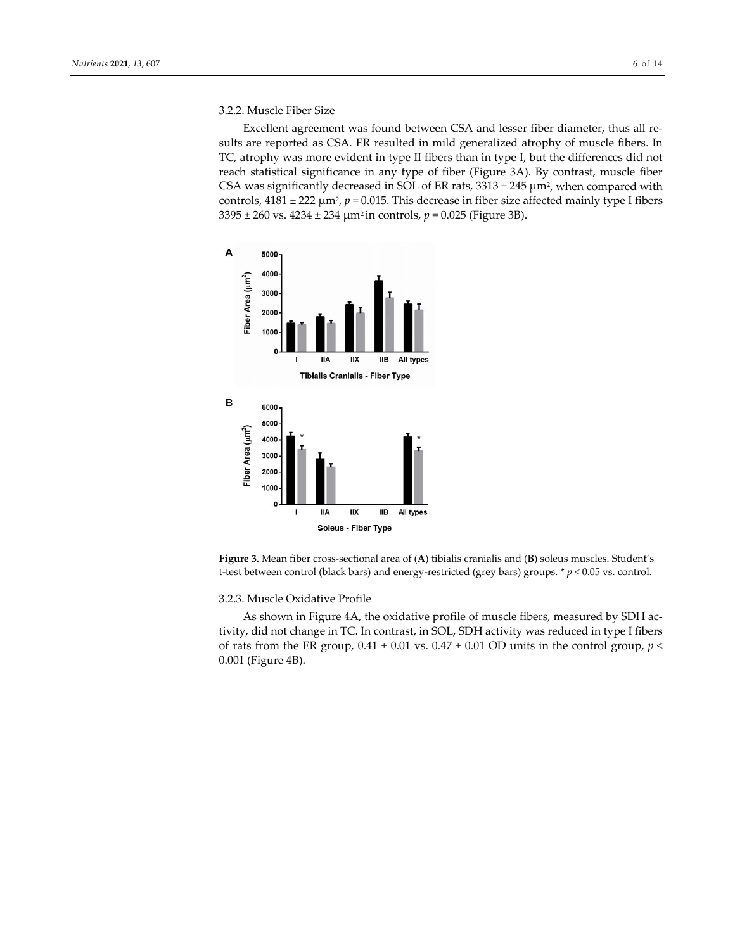## 3.2.2. Muscle Fiber Size

Excellent agreement was found between CSA and lesser fiber diameter, thus all re‐ sults are reported as CSA. ER resulted in mild generalized atrophy of muscle fibers. In TC, atrophy was more evident in type II fibers than in type I, but the differences did not reach statistical significance in any type of fiber (Figure 3A). By contrast, muscle fiber CSA was significantly decreased in SOL of ER rats,  $3313 \pm 245$   $\mu$ m<sup>2</sup>, when compared with controls,  $4181 \pm 222 \mu m^2$ ,  $p = 0.015$ . This decrease in fiber size affected mainly type I fibers 3395 ± 260 vs. 4234 ± 234 μm2 in controls, *p =* 0.025 (Figure 3B).



**Figure 3.** Mean fiber cross‐sectional area of (**A**) tibialis cranialis and (**B**) soleus muscles. Student's t‐test between control (black bars) and energy‐restricted (grey bars) groups. \* *p <* 0.05 vs. control.

## 3.2.3. Muscle Oxidative Profile

As shown in Figure 4A, the oxidative profile of muscle fibers, measured by SDH ac‐ tivity, did not change in TC. In contrast, in SOL, SDH activity was reduced in type I fibers of rats from the ER group,  $0.41 \pm 0.01$  vs.  $0.47 \pm 0.01$  OD units in the control group,  $p <$ 0.001 (Figure 4B).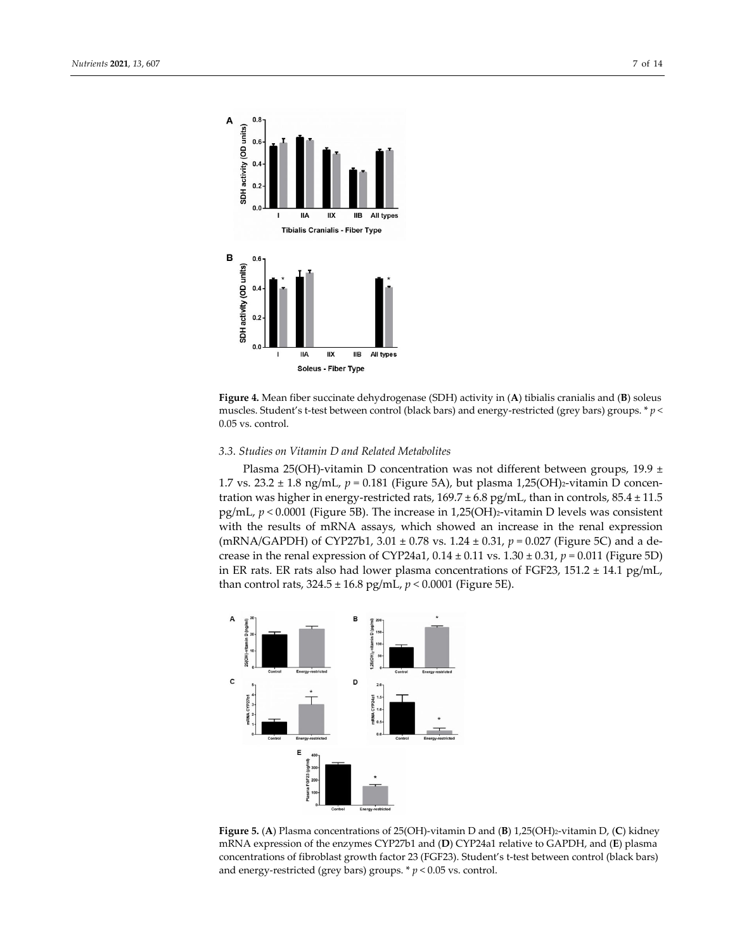



## *3.3. Studies on Vitamin D and Related Metabolites*

Plasma 25(OH)-vitamin D concentration was not different between groups, 19.9  $\pm$ 1.7 vs. 23.2 ± 1.8 ng/mL,  $p = 0.181$  (Figure 5A), but plasma 1,25(OH)<sub>2</sub>-vitamin D concentration was higher in energy-restricted rats,  $169.7 \pm 6.8$  pg/mL, than in controls,  $85.4 \pm 11.5$ pg/mL, *p <* 0.0001 (Figure 5B). The increase in 1,25(OH)2‐vitamin D levels was consistent with the results of mRNA assays, which showed an increase in the renal expression (mRNA/GAPDH) of CYP27b1, 3.01 ± 0.78 vs. 1.24 ± 0.31, *p =* 0.027 (Figure 5C) and a de‐ crease in the renal expression of CYP24a1,  $0.14 \pm 0.11$  vs.  $1.30 \pm 0.31$ ,  $p = 0.011$  (Figure 5D) in ER rats. ER rats also had lower plasma concentrations of FGF23, 151.2  $\pm$  14.1 pg/mL, than control rats,  $324.5 \pm 16.8$  pg/mL,  $p < 0.0001$  (Figure 5E).



**Figure 5.** (**A**) Plasma concentrations of 25(OH)‐vitamin D and (**B**) 1,25(OH)2‐vitamin D, (**C**) kidney mRNA expression of the enzymes CYP27b1 and (**D**) CYP24a1 relative to GAPDH, and (**E**) plasma concentrations of fibroblast growth factor 23 (FGF23). Student's t‐test between control (black bars) and energy-restricted (grey bars) groups. \*  $p$  < 0.05 vs. control.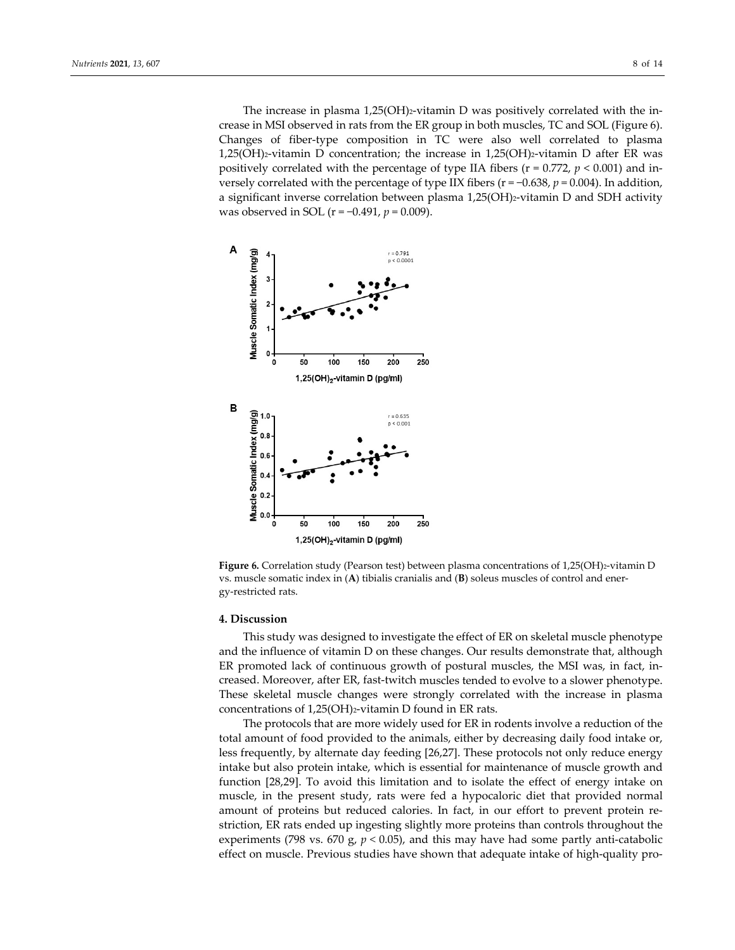The increase in plasma  $1,25(OH)$ <sub>2</sub>-vitamin D was positively correlated with the increase in MSI observed in rats from the ER group in both muscles, TC and SOL (Figure 6). Changes of fiber‐type composition in TC were also well correlated to plasma 1,25(OH)2‐vitamin D concentration; the increase in 1,25(OH)2‐vitamin D after ER was positively correlated with the percentage of type IIA fibers ( $r = 0.772$ ,  $p < 0.001$ ) and inversely correlated with the percentage of type IIX fibers (r = −0.638, *p* = 0.004). In addition, a significant inverse correlation between plasma 1,25(OH)2‐vitamin D and SDH activity was observed in SOL (r = −0.491, *p* = 0.009).



Figure 6. Correlation study (Pearson test) between plasma concentrations of 1,25(OH)2-vitamin D vs. muscle somatic index in (**A**) tibialis cranialis and (**B**) soleus muscles of control and ener‐ gy‐restricted rats.

#### **4. Discussion**

This study was designed to investigate the effect of ER on skeletal muscle phenotype and the influence of vitamin D on these changes. Our results demonstrate that, although ER promoted lack of continuous growth of postural muscles, the MSI was, in fact, in‐ creased. Moreover, after ER, fast-twitch muscles tended to evolve to a slower phenotype. These skeletal muscle changes were strongly correlated with the increase in plasma concentrations of 1,25(OH)2-vitamin D found in ER rats.

The protocols that are more widely used for ER in rodents involve a reduction of the total amount of food provided to the animals, either by decreasing daily food intake or, less frequently, by alternate day feeding [26,27]. These protocols not only reduce energy intake but also protein intake, which is essential for maintenance of muscle growth and function [28,29]. To avoid this limitation and to isolate the effect of energy intake on muscle, in the present study, rats were fed a hypocaloric diet that provided normal amount of proteins but reduced calories. In fact, in our effort to prevent protein re‐ striction, ER rats ended up ingesting slightly more proteins than controls throughout the experiments (798 vs. 670 g,  $p < 0.05$ ), and this may have had some partly anti-catabolic effect on muscle. Previous studies have shown that adequate intake of high-quality pro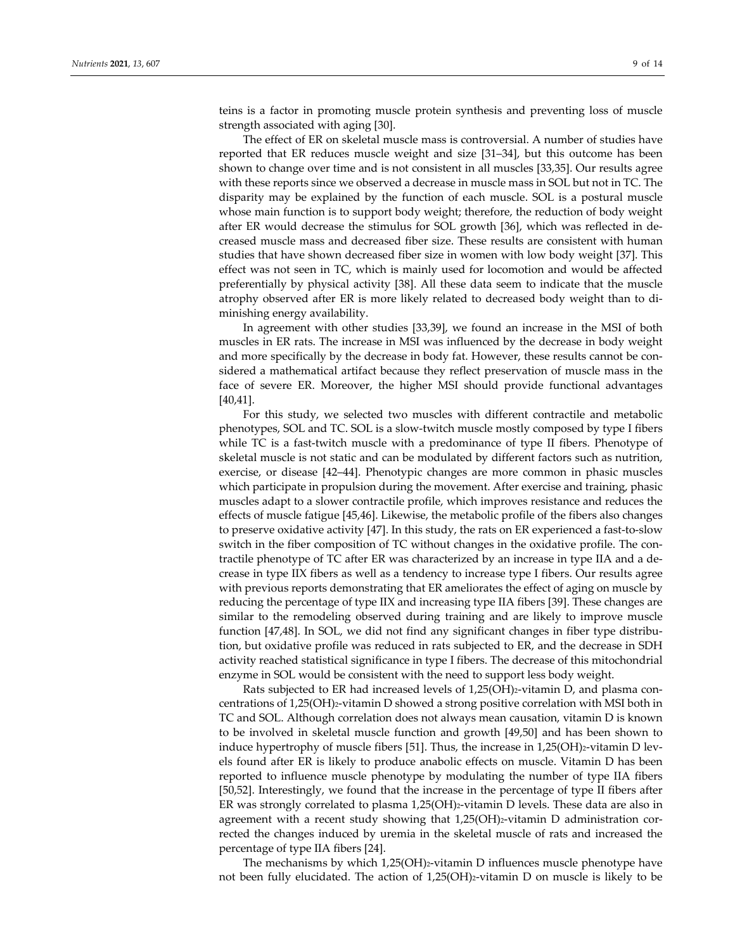teins is a factor in promoting muscle protein synthesis and preventing loss of muscle strength associated with aging [30].

The effect of ER on skeletal muscle mass is controversial. A number of studies have reported that ER reduces muscle weight and size [31–34], but this outcome has been shown to change over time and is not consistent in all muscles [33,35]. Our results agree with these reports since we observed a decrease in muscle mass in SOL but not in TC. The disparity may be explained by the function of each muscle. SOL is a postural muscle whose main function is to support body weight; therefore, the reduction of body weight after ER would decrease the stimulus for SOL growth [36], which was reflected in de‐ creased muscle mass and decreased fiber size. These results are consistent with human studies that have shown decreased fiber size in women with low body weight [37]. This effect was not seen in TC, which is mainly used for locomotion and would be affected preferentially by physical activity [38]. All these data seem to indicate that the muscle atrophy observed after ER is more likely related to decreased body weight than to di‐ minishing energy availability.

In agreement with other studies [33,39], we found an increase in the MSI of both muscles in ER rats. The increase in MSI was influenced by the decrease in body weight and more specifically by the decrease in body fat. However, these results cannot be considered a mathematical artifact because they reflect preservation of muscle mass in the face of severe ER. Moreover, the higher MSI should provide functional advantages [40,41].

For this study, we selected two muscles with different contractile and metabolic phenotypes, SOL and TC. SOL is a slow‐twitch muscle mostly composed by type I fibers while TC is a fast-twitch muscle with a predominance of type II fibers. Phenotype of skeletal muscle is not static and can be modulated by different factors such as nutrition, exercise, or disease [42–44]. Phenotypic changes are more common in phasic muscles which participate in propulsion during the movement. After exercise and training, phasic muscles adapt to a slower contractile profile, which improves resistance and reduces the effects of muscle fatigue [45,46]. Likewise, the metabolic profile of the fibers also changes to preserve oxidative activity [47]. In this study, the rats on ER experienced a fast-to-slow switch in the fiber composition of TC without changes in the oxidative profile. The contractile phenotype of TC after ER was characterized by an increase in type IIA and a de‐ crease in type IIX fibers as well as a tendency to increase type I fibers. Our results agree with previous reports demonstrating that ER ameliorates the effect of aging on muscle by reducing the percentage of type IIX and increasing type IIA fibers [39]. These changes are similar to the remodeling observed during training and are likely to improve muscle function [47,48]. In SOL, we did not find any significant changes in fiber type distribution, but oxidative profile was reduced in rats subjected to ER, and the decrease in SDH activity reached statistical significance in type I fibers. The decrease of this mitochondrial enzyme in SOL would be consistent with the need to support less body weight.

Rats subjected to ER had increased levels of 1,25(OH)2-vitamin D, and plasma concentrations of 1,25(OH)2‐vitamin D showed a strong positive correlation with MSI both in TC and SOL. Although correlation does not always mean causation, vitamin D is known to be involved in skeletal muscle function and growth [49,50] and has been shown to induce hypertrophy of muscle fibers [51]. Thus, the increase in  $1,25(OH)$ 2-vitamin D levels found after ER is likely to produce anabolic effects on muscle. Vitamin D has been reported to influence muscle phenotype by modulating the number of type IIA fibers [50,52]. Interestingly, we found that the increase in the percentage of type II fibers after ER was strongly correlated to plasma 1,25(OH)2-vitamin D levels. These data are also in agreement with a recent study showing that  $1,25(OH)_{2}$ -vitamin D administration corrected the changes induced by uremia in the skeletal muscle of rats and increased the percentage of type IIA fibers [24].

The mechanisms by which 1,25(OH)<sub>2</sub>-vitamin D influences muscle phenotype have not been fully elucidated. The action of 1,25(OH)2-vitamin D on muscle is likely to be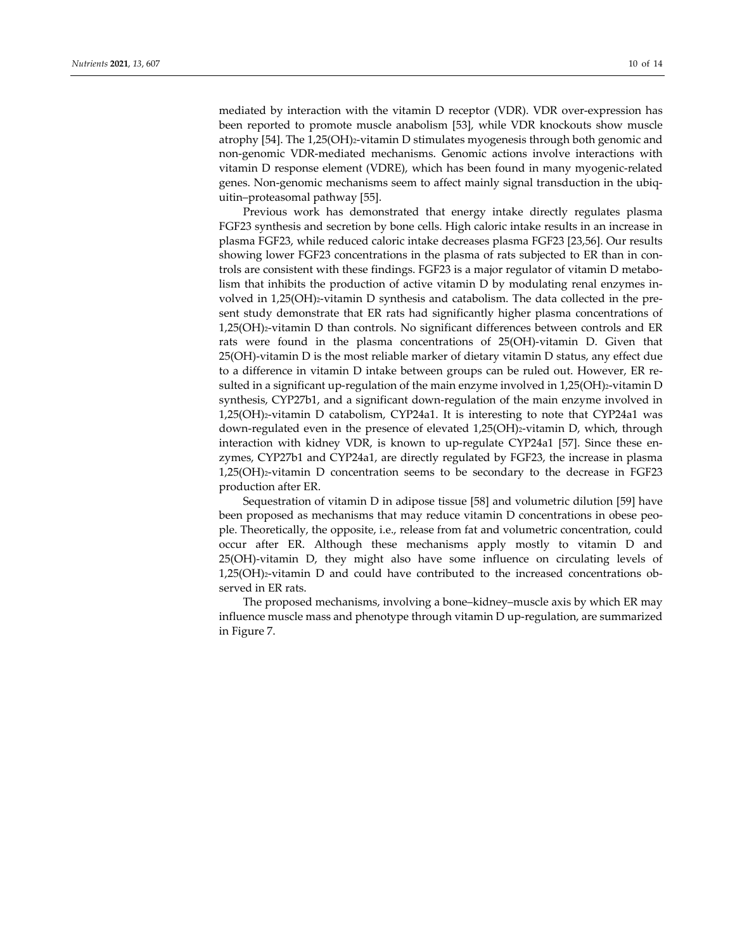mediated by interaction with the vitamin D receptor (VDR). VDR over-expression has been reported to promote muscle anabolism [53], while VDR knockouts show muscle atrophy [54]. The 1,25(OH)2-vitamin D stimulates myogenesis through both genomic and non‐genomic VDR‐mediated mechanisms. Genomic actions involve interactions with vitamin D response element (VDRE), which has been found in many myogenic‐related genes. Non-genomic mechanisms seem to affect mainly signal transduction in the ubiquitin–proteasomal pathway [55].

Previous work has demonstrated that energy intake directly regulates plasma FGF23 synthesis and secretion by bone cells. High caloric intake results in an increase in plasma FGF23, while reduced caloric intake decreases plasma FGF23 [23,56]. Our results showing lower FGF23 concentrations in the plasma of rats subjected to ER than in controls are consistent with these findings. FGF23 is a major regulator of vitamin D metabolism that inhibits the production of active vitamin D by modulating renal enzymes in‐ volved in  $1,25(OH)_{2}$ -vitamin D synthesis and catabolism. The data collected in the present study demonstrate that ER rats had significantly higher plasma concentrations of 1,25(OH)2‐vitamin D than controls. No significant differences between controls and ER rats were found in the plasma concentrations of 25(OH)‐vitamin D. Given that 25(OH)-vitamin D is the most reliable marker of dietary vitamin D status, any effect due to a difference in vitamin D intake between groups can be ruled out. However, ER re‐ sulted in a significant up-regulation of the main enzyme involved in  $1,25(OH)_{2}$ -vitamin D synthesis, CYP27b1, and a significant down‐regulation of the main enzyme involved in 1,25(OH)2‐vitamin D catabolism, CYP24a1. It is interesting to note that CYP24a1 was down-regulated even in the presence of elevated 1,25(OH)<sub>2</sub>-vitamin D, which, through interaction with kidney VDR, is known to up-regulate CYP24a1 [57]. Since these enzymes, CYP27b1 and CYP24a1, are directly regulated by FGF23, the increase in plasma 1,25(OH)2‐vitamin D concentration seems to be secondary to the decrease in FGF23 production after ER.

Sequestration of vitamin D in adipose tissue [58] and volumetric dilution [59] have been proposed as mechanisms that may reduce vitamin D concentrations in obese peo‐ ple. Theoretically, the opposite, i.e., release from fat and volumetric concentration, could occur after ER. Although these mechanisms apply mostly to vitamin D and 25(OH)-vitamin D, they might also have some influence on circulating levels of 1,25(OH)2‐vitamin D and could have contributed to the increased concentrations ob‐ served in ER rats.

The proposed mechanisms, involving a bone–kidney–muscle axis by which ER may influence muscle mass and phenotype through vitamin D up-regulation, are summarized in Figure 7.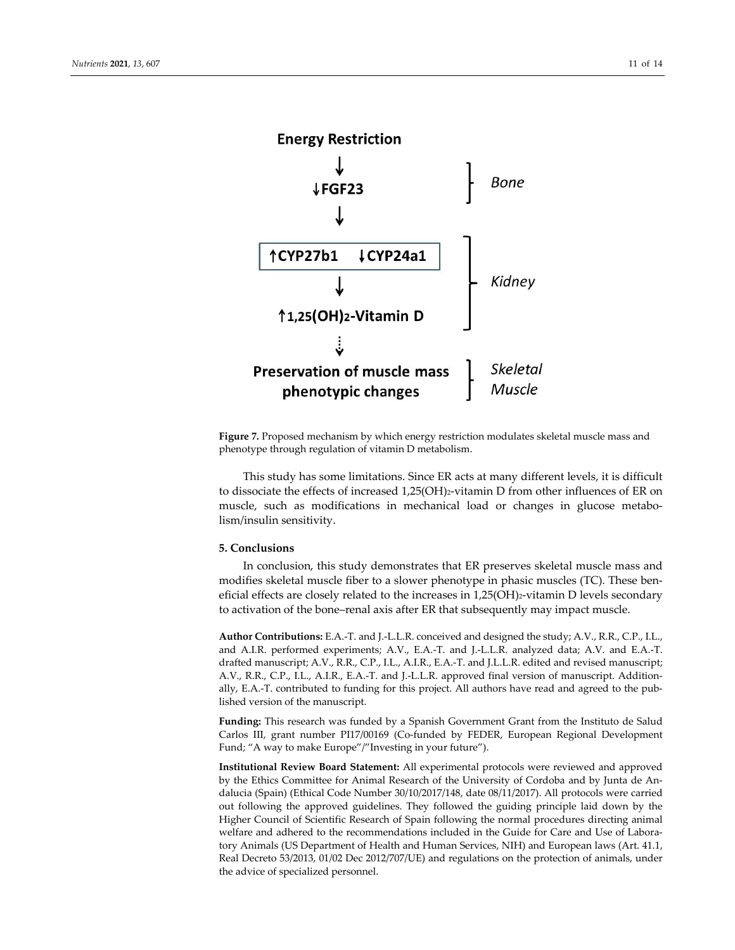

**Figure 7.** Proposed mechanism by which energy restriction modulates skeletal muscle mass and phenotype through regulation of vitamin D metabolism.

This study has some limitations. Since ER acts at many different levels, it is difficult to dissociate the effects of increased 1,25(OH)2‐vitamin D from other influences of ER on muscle, such as modifications in mechanical load or changes in glucose metabolism/insulin sensitivity.

## **5. Conclusions**

In conclusion, this study demonstrates that ER preserves skeletal muscle mass and modifies skeletal muscle fiber to a slower phenotype in phasic muscles (TC). These beneficial effects are closely related to the increases in 1,25(OH)<sub>2</sub>-vitamin D levels secondary to activation of the bone–renal axis after ER that subsequently may impact muscle.

**Author Contributions:** E.A.‐T. and J.‐L.L.R. conceived and designed the study; A.V., R.R., C.P., I.L., and A.I.R. performed experiments; A.V., E.A.‐T. and J.‐L.L.R. analyzed data; A.V. and E.A.‐T. drafted manuscript; A.V., R.R., C.P., I.L., A.I.R., E.A.‐T. and J.L.L.R. edited and revised manuscript; A.V., R.R., C.P., I.L., A.I.R., E.A.‐T. and J.‐L.L.R. approved final version of manuscript. Addition‐ ally, E.A.‐T. contributed to funding for this project. All authors have read and agreed to the pub‐ lished version of the manuscript.

**Funding:** This research was funded by a Spanish Government Grant from the Instituto de Salud Carlos III, grant number PI17/00169 (Co-funded by FEDER, European Regional Development Fund; "A way to make Europe"/"Investing in your future").

**Institutional Review Board Statement:** All experimental protocols were reviewed and approved by the Ethics Committee for Animal Research of the University of Cordoba and by Junta de An‐ dalucia (Spain) (Ethical Code Number 30/10/2017/148, date 08/11/2017). All protocols were carried out following the approved guidelines. They followed the guiding principle laid down by the Higher Council of Scientific Research of Spain following the normal procedures directing animal welfare and adhered to the recommendations included in the Guide for Care and Use of Laboratory Animals (US Department of Health and Human Services, NIH) and European laws (Art. 41.1, Real Decreto 53/2013, 01/02 Dec 2012/707/UE) and regulations on the protection of animals, under the advice of specialized personnel.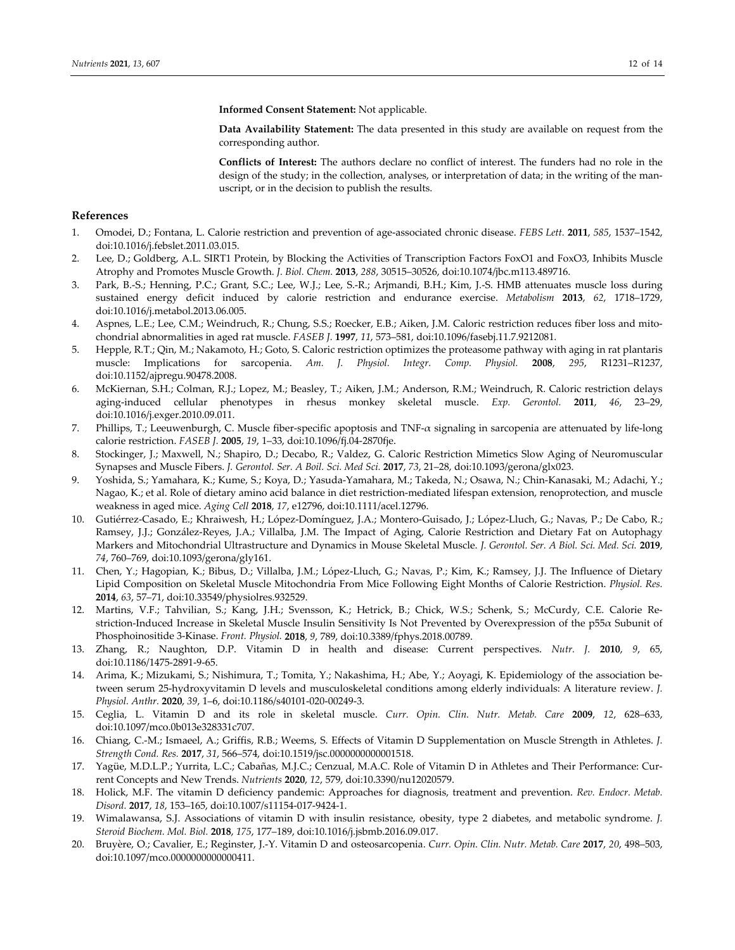**Informed Consent Statement:** Not applicable.

**Data Availability Statement:** The data presented in this study are available on request from the corresponding author.

**Conflicts of Interest:** The authors declare no conflict of interest. The funders had no role in the design of the study; in the collection, analyses, or interpretation of data; in the writing of the manuscript, or in the decision to publish the results.

## **References**

- 1. Omodei, D.; Fontana, L. Calorie restriction and prevention of age‐associated chronic disease. *FEBS Lett.* **2011**, *585*, 1537–1542, doi:10.1016/j.febslet.2011.03.015.
- 2. Lee, D.; Goldberg, A.L. SIRT1 Protein, by Blocking the Activities of Transcription Factors FoxO1 and FoxO3, Inhibits Muscle Atrophy and Promotes Muscle Growth. *J. Biol. Chem.* **2013**, *288*, 30515–30526, doi:10.1074/jbc.m113.489716.
- 3. Park, B.‐S.; Henning, P.C.; Grant, S.C.; Lee, W.J.; Lee, S.‐R.; Arjmandi, B.H.; Kim, J.‐S. HMB attenuates muscle loss during sustained energy deficit induced by calorie restriction and endurance exercise. *Metabolism* **2013**, *62*, 1718–1729, doi:10.1016/j.metabol.2013.06.005.
- 4. Aspnes, L.E.; Lee, C.M.; Weindruch, R.; Chung, S.S.; Roecker, E.B.; Aiken, J.M. Caloric restriction reduces fiber loss and mitochondrial abnormalities in aged rat muscle. *FASEB J.* **1997**, *11*, 573–581, doi:10.1096/fasebj.11.7.9212081.
- 5. Hepple, R.T.; Qin, M.; Nakamoto, H.; Goto, S. Caloric restriction optimizes the proteasome pathway with aging in rat plantaris muscle: Implications for sarcopenia. *Am. J. Physiol. Integr. Comp. Physiol.* **2008**, *295*, R1231–R1237, doi:10.1152/ajpregu.90478.2008.
- 6. McKiernan, S.H.; Colman, R.J.; Lopez, M.; Beasley, T.; Aiken, J.M.; Anderson, R.M.; Weindruch, R. Caloric restriction delays aging‐induced cellular phenotypes in rhesus monkey skeletal muscle. *Exp. Gerontol.* **2011**, *46*, 23–29, doi:10.1016/j.exger.2010.09.011.
- 7. Phillips, T.; Leeuwenburgh, C. Muscle fiber‐specific apoptosis and TNF‐α signaling in sarcopenia are attenuated by life‐long calorie restriction. *FASEB J.* **2005**, *19*, 1–33, doi:10.1096/fj.04‐2870fje.
- 8. Stockinger, J.; Maxwell, N.; Shapiro, D.; Decabo, R.; Valdez, G. Caloric Restriction Mimetics Slow Aging of Neuromuscular Synapses and Muscle Fibers. *J. Gerontol. Ser. A Boil. Sci. Med Sci.* **2017**, *73*, 21–28, doi:10.1093/gerona/glx023.
- 9. Yoshida, S.; Yamahara, K.; Kume, S.; Koya, D.; Yasuda-Yamahara, M.; Takeda, N.; Osawa, N.; Chin-Kanasaki, M.; Adachi, Y.; Nagao, K.; et al. Role of dietary amino acid balance in diet restriction-mediated lifespan extension, renoprotection, and muscle weakness in aged mice. *Aging Cell* **2018**, *17*, e12796, doi:10.1111/acel.12796.
- 10. Gutiérrez‐Casado, E.; Khraiwesh, H.; López‐Domínguez, J.A.; Montero‐Guisado, J.; López‐Lluch, G.; Navas, P.; De Cabo, R.; Ramsey, J.J.; González‐Reyes, J.A.; Villalba, J.M. The Impact of Aging, Calorie Restriction and Dietary Fat on Autophagy Markers and Mitochondrial Ultrastructure and Dynamics in Mouse Skeletal Muscle. *J. Gerontol. Ser. A Biol. Sci. Med. Sci.* **2019**, *74*, 760–769, doi:10.1093/gerona/gly161.
- 11. Chen, Y.; Hagopian, K.; Bibus, D.; Villalba, J.M.; López‐Lluch, G.; Navas, P.; Kim, K.; Ramsey, J.J. The Influence of Dietary Lipid Composition on Skeletal Muscle Mitochondria From Mice Following Eight Months of Calorie Restriction. *Physiol. Res.* **2014**, *63*, 57–71, doi:10.33549/physiolres.932529.
- 12. Martins, V.F.; Tahvilian, S.; Kang, J.H.; Svensson, K.; Hetrick, B.; Chick, W.S.; Schenk, S.; McCurdy, C.E. Calorie Re‐ striction-Induced Increase in Skeletal Muscle Insulin Sensitivity Is Not Prevented by Overexpression of the  $p55\alpha$  Subunit of Phosphoinositide 3‐Kinase. *Front. Physiol.* **2018**, *9*, 789, doi:10.3389/fphys.2018.00789.
- 13. Zhang, R.; Naughton, D.P. Vitamin D in health and disease: Current perspectives. *Nutr. J.* **2010**, *9*, 65, doi:10.1186/1475‐2891‐9‐65.
- 14. Arima, K.; Mizukami, S.; Nishimura, T.; Tomita, Y.; Nakashima, H.; Abe, Y.; Aoyagi, K. Epidemiology of the association be‐ tween serum 25‐hydroxyvitamin D levels and musculoskeletal conditions among elderly individuals: A literature review. *J. Physiol. Anthr.* **2020**, *39*, 1–6, doi:10.1186/s40101‐020‐00249‐3.
- 15. Ceglia, L. Vitamin D and its role in skeletal muscle. *Curr. Opin. Clin. Nutr. Metab. Care* **2009**, *12*, 628–633, doi:10.1097/mco.0b013e328331c707.
- 16. Chiang, C.‐M.; Ismaeel, A.; Griffis, R.B.; Weems, S. Effects of Vitamin D Supplementation on Muscle Strength in Athletes. *J. Strength Cond. Res.* **2017**, *31*, 566–574, doi:10.1519/jsc.0000000000001518.
- 17. Yagüe, M.D.L.P.; Yurrita, L.C.; Cabañas, M.J.C.; Cenzual, M.A.C. Role of Vitamin D in Athletes and Their Performance: Cur‐ rent Concepts and New Trends. *Nutrients* **2020**, *12*, 579, doi:10.3390/nu12020579.
- 18. Holick, M.F. The vitamin D deficiency pandemic: Approaches for diagnosis, treatment and prevention. *Rev. Endocr. Metab. Disord.* **2017**, *18*, 153–165, doi:10.1007/s11154‐017‐9424‐1.
- 19. Wimalawansa, S.J. Associations of vitamin D with insulin resistance, obesity, type 2 diabetes, and metabolic syndrome. *J. Steroid Biochem. Mol. Biol.* **2018**, *175*, 177–189, doi:10.1016/j.jsbmb.2016.09.017.
- 20. Bruyère, O.; Cavalier, E.; Reginster, J.‐Y. Vitamin D and osteosarcopenia. *Curr. Opin. Clin. Nutr. Metab. Care* **2017**, *20*, 498–503, doi:10.1097/mco.0000000000000411.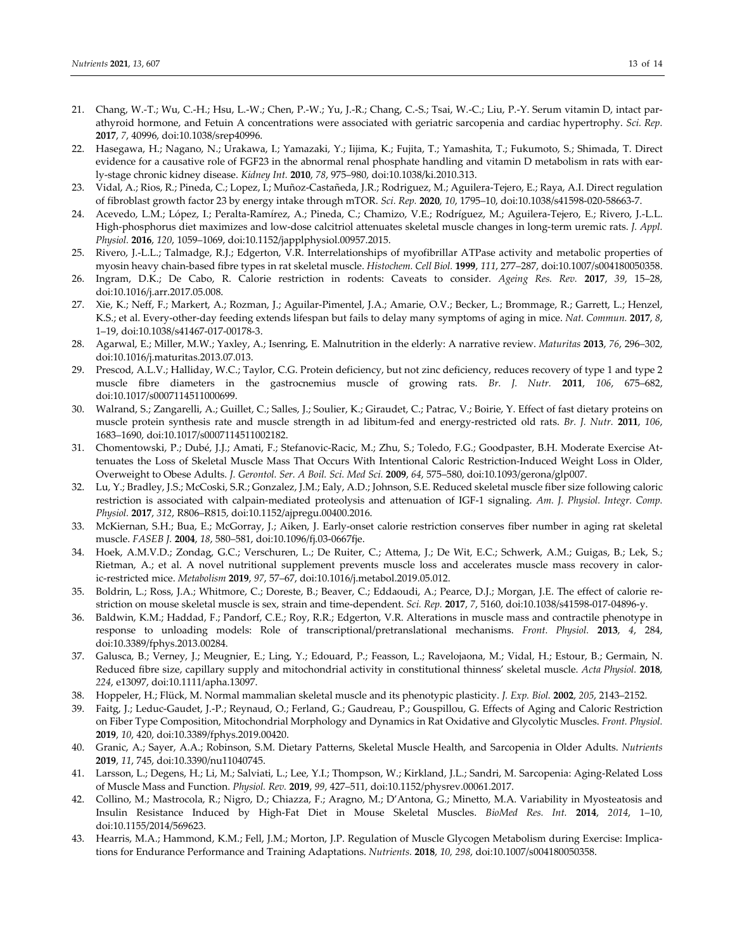- 21. Chang, W.-T.; Wu, C.-H.; Hsu, L.-W.; Chen, P.-W.; Yu, J.-R.; Chang, C.-S.; Tsai, W.-C.; Liu, P.-Y. Serum vitamin D, intact parathyroid hormone, and Fetuin A concentrations were associated with geriatric sarcopenia and cardiac hypertrophy. *Sci. Rep.* **2017**, *7*, 40996, doi:10.1038/srep40996.
- 22. Hasegawa, H.; Nagano, N.; Urakawa, I.; Yamazaki, Y.; Iijima, K.; Fujita, T.; Yamashita, T.; Fukumoto, S.; Shimada, T. Direct evidence for a causative role of FGF23 in the abnormal renal phosphate handling and vitamin D metabolism in rats with early‐stage chronic kidney disease. *Kidney Int.* **2010**, *78*, 975–980, doi:10.1038/ki.2010.313.
- 23. Vidal, A.; Rios, R.; Pineda, C.; Lopez, I.; Muñoz‐Castañeda, J.R.; Rodriguez, M.; Aguilera‐Tejero, E.; Raya, A.I. Direct regulation of fibroblast growth factor 23 by energy intake through mTOR. *Sci. Rep.* **2020**, *10*, 1795–10, doi:10.1038/s41598‐020‐58663‐7.
- 24. Acevedo, L.M.; López, I.; Peralta‐Ramírez, A.; Pineda, C.; Chamizo, V.E.; Rodríguez, M.; Aguilera‐Tejero, E.; Rivero, J.‐L.L. High‐phosphorus diet maximizes and low‐dose calcitriol attenuates skeletal muscle changes in long‐term uremic rats. *J. Appl. Physiol.* **2016**, *120*, 1059–1069, doi:10.1152/japplphysiol.00957.2015.
- 25. Rivero, J.‐L.L.; Talmadge, R.J.; Edgerton, V.R. Interrelationships of myofibrillar ATPase activity and metabolic properties of myosin heavy chain‐based fibre types in rat skeletal muscle. *Histochem. Cell Biol.* **1999**, *111*, 277–287, doi:10.1007/s004180050358.
- 26. Ingram, D.K.; De Cabo, R. Calorie restriction in rodents: Caveats to consider. *Ageing Res. Rev.* **2017**, *39*, 15–28, doi:10.1016/j.arr.2017.05.008.
- 27. Xie, K.; Neff, F.; Markert, A.; Rozman, J.; Aguilar-Pimentel, J.A.; Amarie, O.V.; Becker, L.; Brommage, R.; Garrett, L.; Henzel, K.S.; et al. Every‐other‐day feeding extends lifespan but fails to delay many symptoms of aging in mice. *Nat. Commun.* **2017**, *8*, 1–19, doi:10.1038/s41467‐017‐00178‐3.
- 28. Agarwal, E.; Miller, M.W.; Yaxley, A.; Isenring, E. Malnutrition in the elderly: A narrative review. *Maturitas* **2013**, *76*, 296–302, doi:10.1016/j.maturitas.2013.07.013.
- 29. Prescod, A.L.V.; Halliday, W.C.; Taylor, C.G. Protein deficiency, but not zinc deficiency, reduces recovery of type 1 and type 2 muscle fibre diameters in the gastrocnemius muscle of growing rats. *Br. J. Nutr.* **2011**, *106*, 675–682, doi:10.1017/s0007114511000699.
- 30. Walrand, S.; Zangarelli, A.; Guillet, C.; Salles, J.; Soulier, K.; Giraudet, C.; Patrac, V.; Boirie, Y. Effect of fast dietary proteins on muscle protein synthesis rate and muscle strength in ad libitum‐fed and energy‐restricted old rats. *Br. J. Nutr.* **2011**, *106*, 1683–1690, doi:10.1017/s0007114511002182.
- 31. Chomentowski, P.; Dubé, J.J.; Amati, F.; Stefanovic‐Racic, M.; Zhu, S.; Toledo, F.G.; Goodpaster, B.H. Moderate Exercise At‐ tenuates the Loss of Skeletal Muscle Mass That Occurs With Intentional Caloric Restriction-Induced Weight Loss in Older, Overweight to Obese Adults. *J. Gerontol. Ser. A Boil. Sci. Med Sci.* **2009**, *64*, 575–580, doi:10.1093/gerona/glp007.
- 32. Lu, Y.; Bradley, J.S.; McCoski, S.R.; Gonzalez, J.M.; Ealy, A.D.; Johnson, S.E. Reduced skeletal muscle fiber size following caloric restriction is associated with calpain‐mediated proteolysis and attenuation of IGF‐1 signaling. *Am. J. Physiol. Integr. Comp. Physiol.* **2017**, *312*, R806–R815, doi:10.1152/ajpregu.00400.2016.
- 33. McKiernan, S.H.; Bua, E.; McGorray, J.; Aiken, J. Early‐onset calorie restriction conserves fiber number in aging rat skeletal muscle. *FASEB J.* **2004**, *18*, 580–581, doi:10.1096/fj.03‐0667fje.
- 34. Hoek, A.M.V.D.; Zondag, G.C.; Verschuren, L.; De Ruiter, C.; Attema, J.; De Wit, E.C.; Schwerk, A.M.; Guigas, B.; Lek, S.; Rietman, A.; et al. A novel nutritional supplement prevents muscle loss and accelerates muscle mass recovery in calor‐ ic‐restricted mice. *Metabolism* **2019**, *97*, 57–67, doi:10.1016/j.metabol.2019.05.012.
- 35. Boldrin, L.; Ross, J.A.; Whitmore, C.; Doreste, B.; Beaver, C.; Eddaoudi, A.; Pearce, D.J.; Morgan, J.E. The effect of calorie re‐ striction on mouse skeletal muscle is sex, strain and time‐dependent. *Sci. Rep.* **2017**, *7*, 5160, doi:10.1038/s41598‐017‐04896‐y.
- 36. Baldwin, K.M.; Haddad, F.; Pandorf, C.E.; Roy, R.R.; Edgerton, V.R. Alterations in muscle mass and contractile phenotype in response to unloading models: Role of transcriptional/pretranslational mechanisms. *Front. Physiol.* **2013**, *4*, 284, doi:10.3389/fphys.2013.00284.
- 37. Galusca, B.; Verney, J.; Meugnier, E.; Ling, Y.; Edouard, P.; Feasson, L.; Ravelojaona, M.; Vidal, H.; Estour, B.; Germain, N. Reduced fibre size, capillary supply and mitochondrial activity in constitutional thinness' skeletal muscle. *Acta Physiol.* **2018**, *224*, e13097, doi:10.1111/apha.13097.
- 38. Hoppeler, H.; Flück, M. Normal mammalian skeletal muscle and its phenotypic plasticity. *J. Exp. Biol.* **2002**, *205*, 2143–2152.
- 39. Faitg, J.; Leduc‐Gaudet, J.‐P.; Reynaud, O.; Ferland, G.; Gaudreau, P.; Gouspillou, G. Effects of Aging and Caloric Restriction on Fiber Type Composition, Mitochondrial Morphology and Dynamics in Rat Oxidative and Glycolytic Muscles. *Front. Physiol.* **2019**, *10*, 420, doi:10.3389/fphys.2019.00420.
- 40. Granic, A.; Sayer, A.A.; Robinson, S.M. Dietary Patterns, Skeletal Muscle Health, and Sarcopenia in Older Adults. *Nutrients* **2019**, *11*, 745, doi:10.3390/nu11040745.
- 41. Larsson, L.; Degens, H.; Li, M.; Salviati, L.; Lee, Y.I.; Thompson, W.; Kirkland, J.L.; Sandri, M. Sarcopenia: Aging‐Related Loss of Muscle Mass and Function. *Physiol. Rev.* **2019**, *99*, 427–511, doi:10.1152/physrev.00061.2017.
- 42. Collino, M.; Mastrocola, R.; Nigro, D.; Chiazza, F.; Aragno, M.; D'Antona, G.; Minetto, M.A. Variability in Myosteatosis and Insulin Resistance Induced by High‐Fat Diet in Mouse Skeletal Muscles. *BioMed Res. Int.* **2014**, *2014*, 1–10, doi:10.1155/2014/569623.
- 43. Hearris, M.A.; Hammond, K.M.; Fell, J.M.; Morton, J.P. Regulation of Muscle Glycogen Metabolism during Exercise: Implications for Endurance Performance and Training Adaptations. *Nutrients.* **2018**, *10, 298*, doi:10.1007/s004180050358.